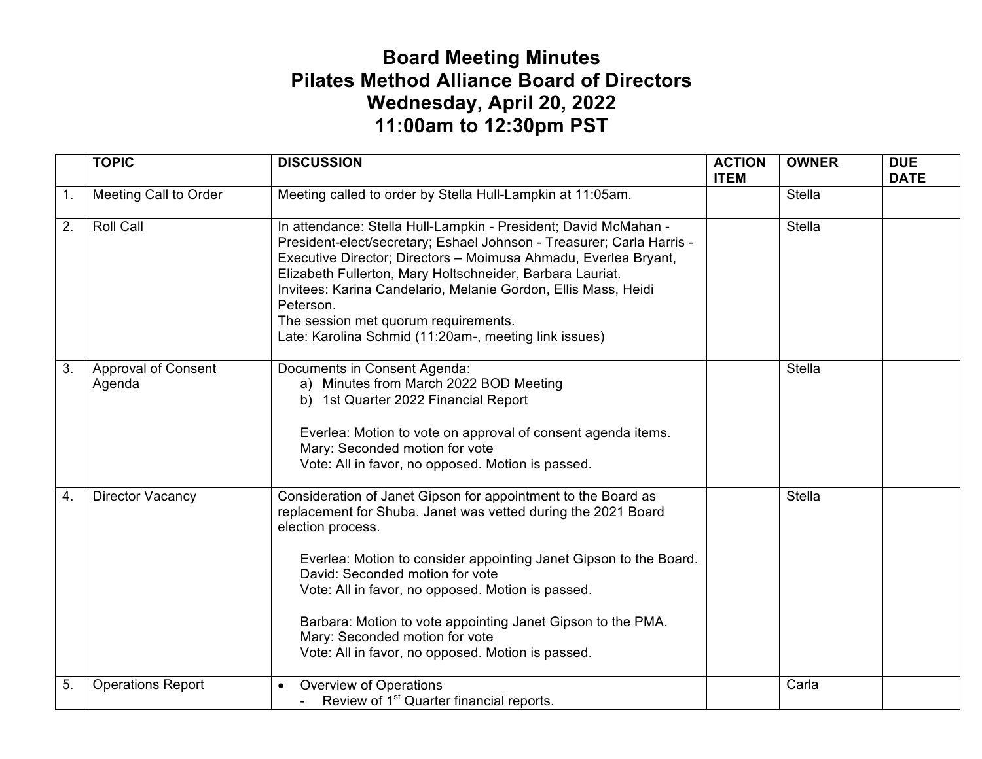## **Board Meeting Minutes Pilates Method Alliance Board of Directors Wednesday, April 20, 2022 11:00am to 12:30pm PST**

|    | <b>TOPIC</b>                         | <b>DISCUSSION</b>                                                                                                                                                                                                                                                                                                                                                                                                                                                      | <b>ACTION</b><br><b>ITEM</b> | <b>OWNER</b>  | <b>DUE</b><br><b>DATE</b> |
|----|--------------------------------------|------------------------------------------------------------------------------------------------------------------------------------------------------------------------------------------------------------------------------------------------------------------------------------------------------------------------------------------------------------------------------------------------------------------------------------------------------------------------|------------------------------|---------------|---------------------------|
| 1. | Meeting Call to Order                | Meeting called to order by Stella Hull-Lampkin at 11:05am.                                                                                                                                                                                                                                                                                                                                                                                                             |                              | <b>Stella</b> |                           |
| 2. | <b>Roll Call</b>                     | In attendance: Stella Hull-Lampkin - President; David McMahan -<br>President-elect/secretary; Eshael Johnson - Treasurer; Carla Harris -<br>Executive Director; Directors - Moimusa Ahmadu, Everlea Bryant,<br>Elizabeth Fullerton, Mary Holtschneider, Barbara Lauriat.<br>Invitees: Karina Candelario, Melanie Gordon, Ellis Mass, Heidi<br>Peterson.<br>The session met quorum requirements.<br>Late: Karolina Schmid (11:20am-, meeting link issues)               |                              | Stella        |                           |
| 3. | <b>Approval of Consent</b><br>Agenda | Documents in Consent Agenda:<br>a) Minutes from March 2022 BOD Meeting<br>b) 1st Quarter 2022 Financial Report<br>Everlea: Motion to vote on approval of consent agenda items.<br>Mary: Seconded motion for vote<br>Vote: All in favor, no opposed. Motion is passed.                                                                                                                                                                                                  |                              | Stella        |                           |
| 4. | <b>Director Vacancy</b>              | Consideration of Janet Gipson for appointment to the Board as<br>replacement for Shuba. Janet was vetted during the 2021 Board<br>election process.<br>Everlea: Motion to consider appointing Janet Gipson to the Board.<br>David: Seconded motion for vote<br>Vote: All in favor, no opposed. Motion is passed.<br>Barbara: Motion to vote appointing Janet Gipson to the PMA.<br>Mary: Seconded motion for vote<br>Vote: All in favor, no opposed. Motion is passed. |                              | Stella        |                           |
| 5. | <b>Operations Report</b>             | <b>Overview of Operations</b><br>Review of 1 <sup>st</sup> Quarter financial reports.                                                                                                                                                                                                                                                                                                                                                                                  |                              | Carla         |                           |